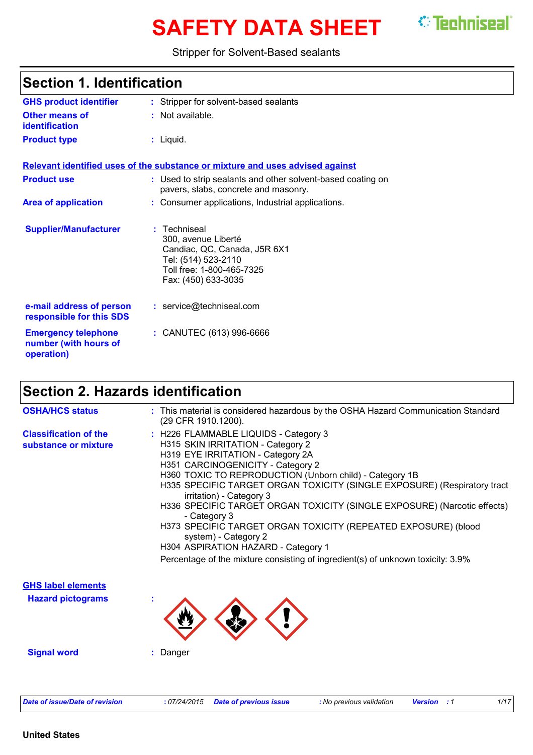# **SAFETY DATA SHEET** *C* Techniseal

#### Stripper for Solvent-Based sealants

| <b>Section 1. Identification</b>                                  |                                                                                                                                                |  |
|-------------------------------------------------------------------|------------------------------------------------------------------------------------------------------------------------------------------------|--|
| <b>GHS product identifier</b>                                     | : Stripper for solvent-based sealants                                                                                                          |  |
| Other means of<br><b>identification</b>                           | : Not available.                                                                                                                               |  |
| <b>Product type</b>                                               | : Liquid.                                                                                                                                      |  |
|                                                                   | Relevant identified uses of the substance or mixture and uses advised against                                                                  |  |
| <b>Product use</b>                                                | : Used to strip sealants and other solvent-based coating on<br>pavers, slabs, concrete and masonry.                                            |  |
| <b>Area of application</b>                                        | : Consumer applications, Industrial applications.                                                                                              |  |
| <b>Supplier/Manufacturer</b>                                      | : Techniseal<br>300, avenue Liberté<br>Candiac, QC, Canada, J5R 6X1<br>Tel: (514) 523-2110<br>Toll free: 1-800-465-7325<br>Fax: (450) 633-3035 |  |
| e-mail address of person<br>responsible for this SDS              | : service@techniseal.com                                                                                                                       |  |
| <b>Emergency telephone</b><br>number (with hours of<br>operation) | : CANUTEC (613) 996-6666                                                                                                                       |  |

### **Section 2. Hazards identification**

| <b>OSHA/HCS status</b>                               | : This material is considered hazardous by the OSHA Hazard Communication Standard<br>(29 CFR 1910.1200).                                                                                                                                                                                                                                                                                                                                                                                                                                                                                                                                |
|------------------------------------------------------|-----------------------------------------------------------------------------------------------------------------------------------------------------------------------------------------------------------------------------------------------------------------------------------------------------------------------------------------------------------------------------------------------------------------------------------------------------------------------------------------------------------------------------------------------------------------------------------------------------------------------------------------|
| <b>Classification of the</b><br>substance or mixture | : H226 FLAMMABLE LIQUIDS - Category 3<br>H315 SKIN IRRITATION - Category 2<br>H319 EYE IRRITATION - Category 2A<br>H351 CARCINOGENICITY - Category 2<br>H360 TOXIC TO REPRODUCTION (Unborn child) - Category 1B<br>H335 SPECIFIC TARGET ORGAN TOXICITY (SINGLE EXPOSURE) (Respiratory tract<br>irritation) - Category 3<br>H336 SPECIFIC TARGET ORGAN TOXICITY (SINGLE EXPOSURE) (Narcotic effects)<br>- Category 3<br>H373 SPECIFIC TARGET ORGAN TOXICITY (REPEATED EXPOSURE) (blood<br>system) - Category 2<br>H304 ASPIRATION HAZARD - Category 1<br>Percentage of the mixture consisting of ingredient(s) of unknown toxicity: 3.9% |
| <b>GHS label elements</b>                            |                                                                                                                                                                                                                                                                                                                                                                                                                                                                                                                                                                                                                                         |
| <b>Hazard pictograms</b>                             |                                                                                                                                                                                                                                                                                                                                                                                                                                                                                                                                                                                                                                         |
| <b>Signal word</b>                                   | : Danger                                                                                                                                                                                                                                                                                                                                                                                                                                                                                                                                                                                                                                |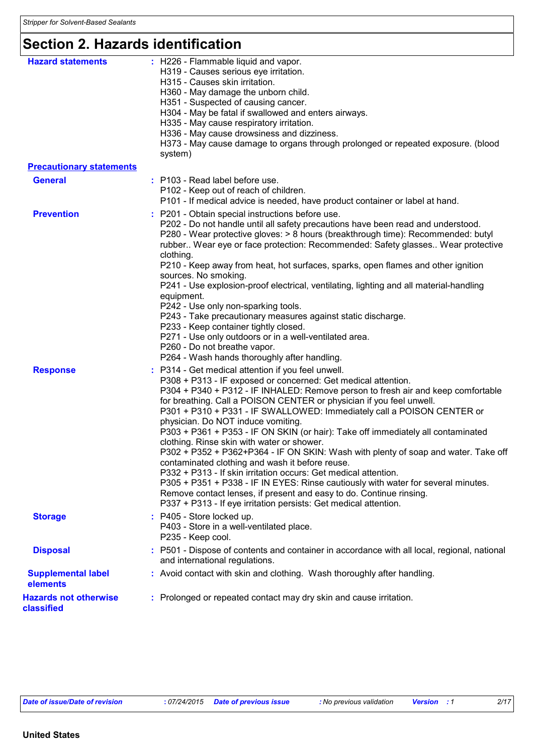### **Section 2. Hazards identification**

| <b>Hazard statements</b>                   | : H226 - Flammable liquid and vapor.<br>H319 - Causes serious eye irritation.<br>H315 - Causes skin irritation.<br>H360 - May damage the unborn child.<br>H351 - Suspected of causing cancer.<br>H304 - May be fatal if swallowed and enters airways.<br>H335 - May cause respiratory irritation.<br>H336 - May cause drowsiness and dizziness.<br>H373 - May cause damage to organs through prolonged or repeated exposure. (blood<br>system)                                                                                                                                                                                                                                                                                                                                                                                                                                                                                                                                |
|--------------------------------------------|-------------------------------------------------------------------------------------------------------------------------------------------------------------------------------------------------------------------------------------------------------------------------------------------------------------------------------------------------------------------------------------------------------------------------------------------------------------------------------------------------------------------------------------------------------------------------------------------------------------------------------------------------------------------------------------------------------------------------------------------------------------------------------------------------------------------------------------------------------------------------------------------------------------------------------------------------------------------------------|
| <b>Precautionary statements</b>            |                                                                                                                                                                                                                                                                                                                                                                                                                                                                                                                                                                                                                                                                                                                                                                                                                                                                                                                                                                               |
| <b>General</b>                             | : P103 - Read label before use.<br>P102 - Keep out of reach of children.<br>P101 - If medical advice is needed, have product container or label at hand.                                                                                                                                                                                                                                                                                                                                                                                                                                                                                                                                                                                                                                                                                                                                                                                                                      |
| <b>Prevention</b>                          | : P201 - Obtain special instructions before use.<br>P202 - Do not handle until all safety precautions have been read and understood.<br>P280 - Wear protective gloves: > 8 hours (breakthrough time): Recommended: butyl<br>rubber Wear eye or face protection: Recommended: Safety glasses Wear protective<br>clothing.<br>P210 - Keep away from heat, hot surfaces, sparks, open flames and other ignition<br>sources. No smoking.<br>P241 - Use explosion-proof electrical, ventilating, lighting and all material-handling<br>equipment.<br>P242 - Use only non-sparking tools.<br>P243 - Take precautionary measures against static discharge.<br>P233 - Keep container tightly closed.<br>P271 - Use only outdoors or in a well-ventilated area.<br>P260 - Do not breathe vapor.<br>P264 - Wash hands thoroughly after handling.                                                                                                                                        |
| <b>Response</b>                            | : P314 - Get medical attention if you feel unwell.<br>P308 + P313 - IF exposed or concerned: Get medical attention.<br>P304 + P340 + P312 - IF INHALED: Remove person to fresh air and keep comfortable<br>for breathing. Call a POISON CENTER or physician if you feel unwell.<br>P301 + P310 + P331 - IF SWALLOWED: Immediately call a POISON CENTER or<br>physician. Do NOT induce vomiting.<br>P303 + P361 + P353 - IF ON SKIN (or hair): Take off immediately all contaminated<br>clothing. Rinse skin with water or shower.<br>P302 + P352 + P362+P364 - IF ON SKIN: Wash with plenty of soap and water. Take off<br>contaminated clothing and wash it before reuse.<br>P332 + P313 - If skin irritation occurs: Get medical attention.<br>P305 + P351 + P338 - IF IN EYES: Rinse cautiously with water for several minutes.<br>Remove contact lenses, if present and easy to do. Continue rinsing.<br>P337 + P313 - If eye irritation persists: Get medical attention. |
| <b>Storage</b>                             | : P405 - Store locked up.<br>P403 - Store in a well-ventilated place.<br>P235 - Keep cool.                                                                                                                                                                                                                                                                                                                                                                                                                                                                                                                                                                                                                                                                                                                                                                                                                                                                                    |
| <b>Disposal</b>                            | : P501 - Dispose of contents and container in accordance with all local, regional, national<br>and international regulations.                                                                                                                                                                                                                                                                                                                                                                                                                                                                                                                                                                                                                                                                                                                                                                                                                                                 |
| <b>Supplemental label</b><br>elements      | : Avoid contact with skin and clothing. Wash thoroughly after handling.                                                                                                                                                                                                                                                                                                                                                                                                                                                                                                                                                                                                                                                                                                                                                                                                                                                                                                       |
| <b>Hazards not otherwise</b><br>classified | : Prolonged or repeated contact may dry skin and cause irritation.                                                                                                                                                                                                                                                                                                                                                                                                                                                                                                                                                                                                                                                                                                                                                                                                                                                                                                            |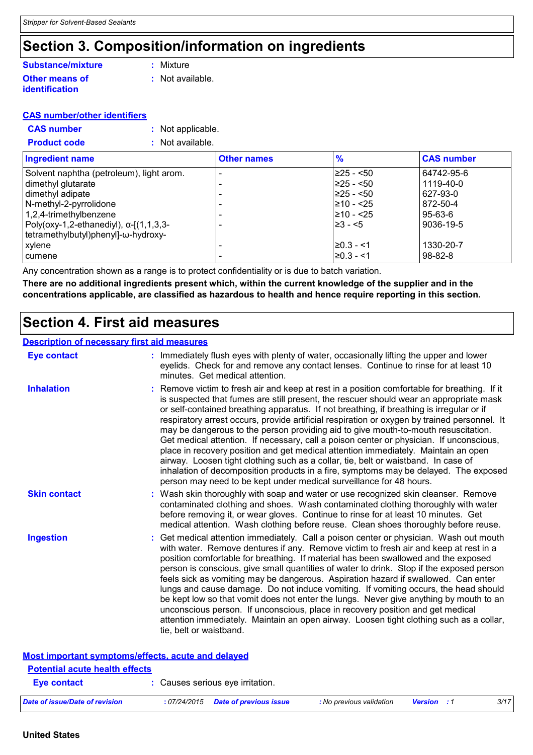### **Section 3. Composition/information on ingredients**

#### **Other means of identification Substance/mixture**

**:** Mixture

**:** Not available.

#### **CAS number/other identifiers**

**CAS number :** Not applicable.

| <b>Product code</b> | : Not available. |
|---------------------|------------------|
|                     |                  |

| <b>Ingredient name</b>                       | <b>Other names</b>       | $\frac{9}{6}$  | <b>CAS number</b> |
|----------------------------------------------|--------------------------|----------------|-------------------|
| Solvent naphtha (petroleum), light arom.     |                          | $≥25 - 50$     | 64742-95-6        |
| dimethyl glutarate                           |                          | $≥25 - 50$     | 1119-40-0         |
| dimethyl adipate                             |                          | l≥25 - <50     | 627-93-0          |
| N-methyl-2-pyrrolidone                       |                          | 210 - <25      | 872-50-4          |
| $1,2,4$ -trimethylbenzene                    |                          | 210 - <25      | $95 - 63 - 6$     |
| $ Poly(0xy-1,2-ethanediy), \alpha-[1,1,3,3-$ |                          | $\geq 3 - 5$   | 9036-19-5         |
| tetramethylbutyl) phenyl]-ω-hydroxy-         |                          |                |                   |
| xylene                                       |                          | $\geq 0.3 - 1$ | 1330-20-7         |
| cumene                                       | $\overline{\phantom{0}}$ | l≥0.3 - <1     | $98 - 82 - 8$     |

Any concentration shown as a range is to protect confidentiality or is due to batch variation.

**There are no additional ingredients present which, within the current knowledge of the supplier and in the concentrations applicable, are classified as hazardous to health and hence require reporting in this section.**

### **Section 4. First aid measures**

**Most important symptoms/effects, acute and delayed**

| <b>Description of necessary first aid measures</b> |                                                                                                                                                                                                                                                                                                                                                                                                                                                                                                                                                                                                                                                                                                                                                                                                                                                                                                                |
|----------------------------------------------------|----------------------------------------------------------------------------------------------------------------------------------------------------------------------------------------------------------------------------------------------------------------------------------------------------------------------------------------------------------------------------------------------------------------------------------------------------------------------------------------------------------------------------------------------------------------------------------------------------------------------------------------------------------------------------------------------------------------------------------------------------------------------------------------------------------------------------------------------------------------------------------------------------------------|
| <b>Eye contact</b>                                 | : Immediately flush eyes with plenty of water, occasionally lifting the upper and lower<br>eyelids. Check for and remove any contact lenses. Continue to rinse for at least 10<br>minutes. Get medical attention.                                                                                                                                                                                                                                                                                                                                                                                                                                                                                                                                                                                                                                                                                              |
| <b>Inhalation</b>                                  | : Remove victim to fresh air and keep at rest in a position comfortable for breathing. If it<br>is suspected that fumes are still present, the rescuer should wear an appropriate mask<br>or self-contained breathing apparatus. If not breathing, if breathing is irregular or if<br>respiratory arrest occurs, provide artificial respiration or oxygen by trained personnel. It<br>may be dangerous to the person providing aid to give mouth-to-mouth resuscitation.<br>Get medical attention. If necessary, call a poison center or physician. If unconscious,<br>place in recovery position and get medical attention immediately. Maintain an open<br>airway. Loosen tight clothing such as a collar, tie, belt or waistband. In case of<br>inhalation of decomposition products in a fire, symptoms may be delayed. The exposed<br>person may need to be kept under medical surveillance for 48 hours. |
| <b>Skin contact</b>                                | : Wash skin thoroughly with soap and water or use recognized skin cleanser. Remove<br>contaminated clothing and shoes. Wash contaminated clothing thoroughly with water<br>before removing it, or wear gloves. Continue to rinse for at least 10 minutes. Get<br>medical attention. Wash clothing before reuse. Clean shoes thoroughly before reuse.                                                                                                                                                                                                                                                                                                                                                                                                                                                                                                                                                           |
| <b>Ingestion</b>                                   | : Get medical attention immediately. Call a poison center or physician. Wash out mouth<br>with water. Remove dentures if any. Remove victim to fresh air and keep at rest in a<br>position comfortable for breathing. If material has been swallowed and the exposed<br>person is conscious, give small quantities of water to drink. Stop if the exposed person<br>feels sick as vomiting may be dangerous. Aspiration hazard if swallowed. Can enter<br>lungs and cause damage. Do not induce vomiting. If vomiting occurs, the head should<br>be kept low so that vomit does not enter the lungs. Never give anything by mouth to an<br>unconscious person. If unconscious, place in recovery position and get medical<br>attention immediately. Maintain an open airway. Loosen tight clothing such as a collar,<br>tie, belt or waistband.                                                                |

| <b>Potential acute health effects</b> |                                     |                          |                    |      |
|---------------------------------------|-------------------------------------|--------------------------|--------------------|------|
| Eye contact                           | : Causes serious eye irritation.    |                          |                    |      |
| Date of issue/Date of revision        | : 07/24/2015 Date of previous issue | : No previous validation | <b>Version</b> : 1 | 3/17 |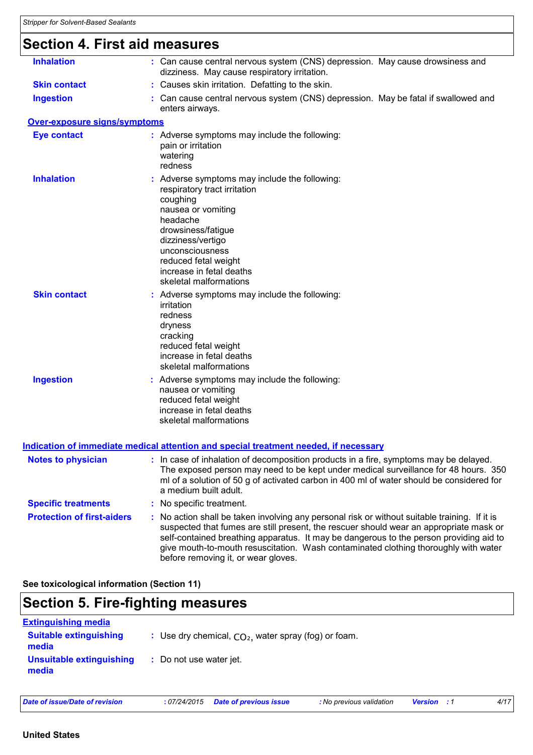### **Section 4. First aid measures**

| <b>Inhalation</b>                   | : Can cause central nervous system (CNS) depression. May cause drowsiness and<br>dizziness. May cause respiratory irritation.                                                                                                                                                                                                                                                                                   |
|-------------------------------------|-----------------------------------------------------------------------------------------------------------------------------------------------------------------------------------------------------------------------------------------------------------------------------------------------------------------------------------------------------------------------------------------------------------------|
| <b>Skin contact</b>                 | : Causes skin irritation. Defatting to the skin.                                                                                                                                                                                                                                                                                                                                                                |
| <b>Ingestion</b>                    | : Can cause central nervous system (CNS) depression. May be fatal if swallowed and<br>enters airways.                                                                                                                                                                                                                                                                                                           |
| <b>Over-exposure signs/symptoms</b> |                                                                                                                                                                                                                                                                                                                                                                                                                 |
| <b>Eye contact</b>                  | : Adverse symptoms may include the following:<br>pain or irritation<br>watering<br>redness                                                                                                                                                                                                                                                                                                                      |
| <b>Inhalation</b>                   | : Adverse symptoms may include the following:<br>respiratory tract irritation<br>coughing<br>nausea or vomiting<br>headache<br>drowsiness/fatigue<br>dizziness/vertigo<br>unconsciousness<br>reduced fetal weight<br>increase in fetal deaths<br>skeletal malformations                                                                                                                                         |
| <b>Skin contact</b>                 | : Adverse symptoms may include the following:<br>irritation<br>redness<br>dryness<br>cracking<br>reduced fetal weight<br>increase in fetal deaths<br>skeletal malformations                                                                                                                                                                                                                                     |
| <b>Ingestion</b>                    | : Adverse symptoms may include the following:<br>nausea or vomiting<br>reduced fetal weight<br>increase in fetal deaths<br>skeletal malformations                                                                                                                                                                                                                                                               |
|                                     | <u>Indication of immediate medical attention and special treatment needed, if necessary</u>                                                                                                                                                                                                                                                                                                                     |
| <b>Notes to physician</b>           | : In case of inhalation of decomposition products in a fire, symptoms may be delayed.<br>The exposed person may need to be kept under medical surveillance for 48 hours. 350<br>ml of a solution of 50 g of activated carbon in 400 ml of water should be considered for<br>a medium built adult.                                                                                                               |
| <b>Specific treatments</b>          | : No specific treatment.                                                                                                                                                                                                                                                                                                                                                                                        |
| <b>Protection of first-aiders</b>   | : No action shall be taken involving any personal risk or without suitable training. If it is<br>suspected that fumes are still present, the rescuer should wear an appropriate mask or<br>self-contained breathing apparatus. It may be dangerous to the person providing aid to<br>give mouth-to-mouth resuscitation. Wash contaminated clothing thoroughly with water<br>before removing it, or wear gloves. |
|                                     |                                                                                                                                                                                                                                                                                                                                                                                                                 |

**See toxicological information (Section 11)**

### **Section 5. Fire-fighting measures**

| <b>Extinguishing media</b>             |                                                        |
|----------------------------------------|--------------------------------------------------------|
| <b>Suitable extinguishing</b><br>media | : Use dry chemical, $CO2$ , water spray (fog) or foam. |
| Unsuitable extinguishing<br>media      | : Do not use water jet.                                |

#### **United States**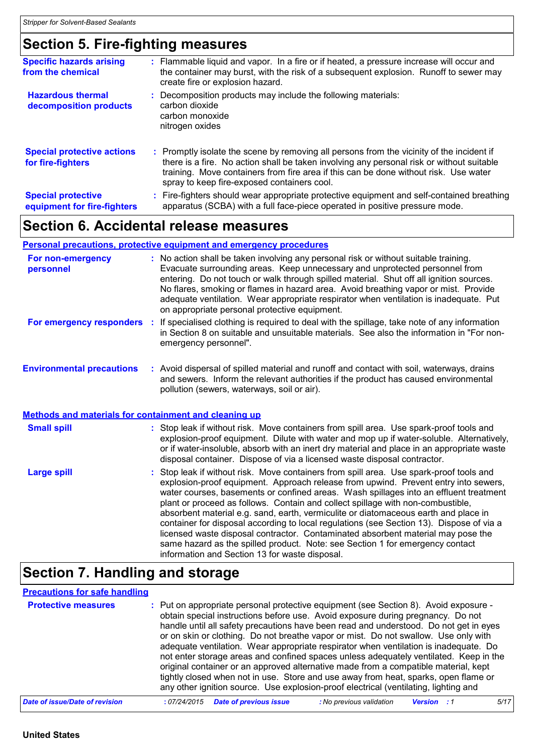## **Section 5. Fire-fighting measures**

| <b>Specific hazards arising</b><br>from the chemical     | : Flammable liquid and vapor. In a fire or if heated, a pressure increase will occur and<br>the container may burst, with the risk of a subsequent explosion. Runoff to sewer may<br>create fire or explosion hazard.                                                                                                         |
|----------------------------------------------------------|-------------------------------------------------------------------------------------------------------------------------------------------------------------------------------------------------------------------------------------------------------------------------------------------------------------------------------|
| <b>Hazardous thermal</b><br>decomposition products       | : Decomposition products may include the following materials:<br>carbon dioxide<br>carbon monoxide<br>nitrogen oxides                                                                                                                                                                                                         |
| <b>Special protective actions</b><br>for fire-fighters   | : Promptly isolate the scene by removing all persons from the vicinity of the incident if<br>there is a fire. No action shall be taken involving any personal risk or without suitable<br>training. Move containers from fire area if this can be done without risk. Use water<br>spray to keep fire-exposed containers cool. |
| <b>Special protective</b><br>equipment for fire-fighters | : Fire-fighters should wear appropriate protective equipment and self-contained breathing<br>apparatus (SCBA) with a full face-piece operated in positive pressure mode.                                                                                                                                                      |

### **Section 6. Accidental release measures**

#### **Personal precautions, protective equipment and emergency procedures**

| For non-emergency<br>personnel                        | : No action shall be taken involving any personal risk or without suitable training.<br>Evacuate surrounding areas. Keep unnecessary and unprotected personnel from<br>entering. Do not touch or walk through spilled material. Shut off all ignition sources.<br>No flares, smoking or flames in hazard area. Avoid breathing vapor or mist. Provide<br>adequate ventilation. Wear appropriate respirator when ventilation is inadequate. Put<br>on appropriate personal protective equipment.                                                                                                                                                                                                                                                                      |  |
|-------------------------------------------------------|----------------------------------------------------------------------------------------------------------------------------------------------------------------------------------------------------------------------------------------------------------------------------------------------------------------------------------------------------------------------------------------------------------------------------------------------------------------------------------------------------------------------------------------------------------------------------------------------------------------------------------------------------------------------------------------------------------------------------------------------------------------------|--|
| For emergency responders                              | : If specialised clothing is required to deal with the spillage, take note of any information<br>in Section 8 on suitable and unsuitable materials. See also the information in "For non-<br>emergency personnel".                                                                                                                                                                                                                                                                                                                                                                                                                                                                                                                                                   |  |
| <b>Environmental precautions</b>                      | : Avoid dispersal of spilled material and runoff and contact with soil, waterways, drains<br>and sewers. Inform the relevant authorities if the product has caused environmental<br>pollution (sewers, waterways, soil or air).                                                                                                                                                                                                                                                                                                                                                                                                                                                                                                                                      |  |
| Methods and materials for containment and cleaning up |                                                                                                                                                                                                                                                                                                                                                                                                                                                                                                                                                                                                                                                                                                                                                                      |  |
| <b>Small spill</b>                                    | : Stop leak if without risk. Move containers from spill area. Use spark-proof tools and<br>explosion-proof equipment. Dilute with water and mop up if water-soluble. Alternatively,<br>or if water-insoluble, absorb with an inert dry material and place in an appropriate waste<br>disposal container. Dispose of via a licensed waste disposal contractor.                                                                                                                                                                                                                                                                                                                                                                                                        |  |
| <b>Large spill</b>                                    | : Stop leak if without risk. Move containers from spill area. Use spark-proof tools and<br>explosion-proof equipment. Approach release from upwind. Prevent entry into sewers,<br>water courses, basements or confined areas. Wash spillages into an effluent treatment<br>plant or proceed as follows. Contain and collect spillage with non-combustible,<br>absorbent material e.g. sand, earth, vermiculite or diatomaceous earth and place in<br>container for disposal according to local regulations (see Section 13). Dispose of via a<br>licensed waste disposal contractor. Contaminated absorbent material may pose the<br>same hazard as the spilled product. Note: see Section 1 for emergency contact<br>information and Section 13 for waste disposal. |  |

### **Section 7. Handling and storage**

#### **Precautions for safe handling**

| <b>Protective measures</b>     | : Put on appropriate personal protective equipment (see Section 8). Avoid exposure -<br>obtain special instructions before use. Avoid exposure during pregnancy. Do not<br>handle until all safety precautions have been read and understood. Do not get in eyes<br>or on skin or clothing. Do not breathe vapor or mist. Do not swallow. Use only with<br>adequate ventilation. Wear appropriate respirator when ventilation is inadequate. Do<br>not enter storage areas and confined spaces unless adequately ventilated. Keep in the<br>original container or an approved alternative made from a compatible material, kept<br>tightly closed when not in use. Store and use away from heat, sparks, open flame or<br>any other ignition source. Use explosion-proof electrical (ventilating, lighting and |
|--------------------------------|----------------------------------------------------------------------------------------------------------------------------------------------------------------------------------------------------------------------------------------------------------------------------------------------------------------------------------------------------------------------------------------------------------------------------------------------------------------------------------------------------------------------------------------------------------------------------------------------------------------------------------------------------------------------------------------------------------------------------------------------------------------------------------------------------------------|
| Date of issue/Date of revision | <b>Date of previous issue</b><br>5/17<br>: No previous validation<br>:07/24/2015<br><b>Version</b> : 1                                                                                                                                                                                                                                                                                                                                                                                                                                                                                                                                                                                                                                                                                                         |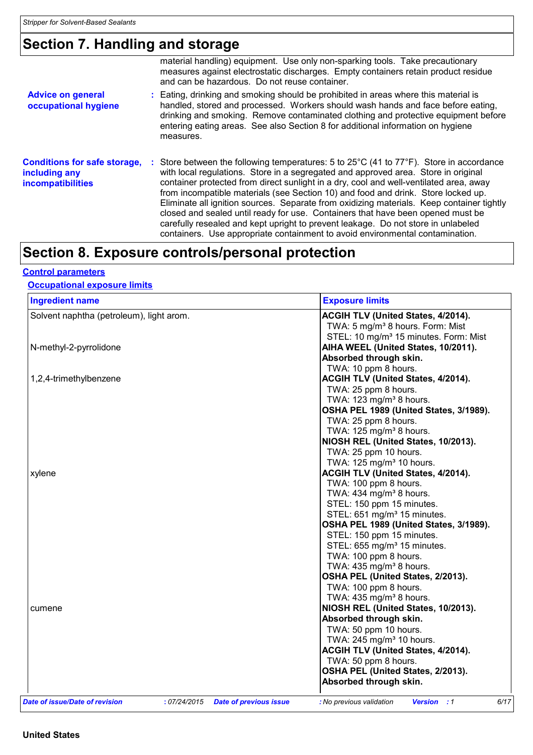### **Section 7. Handling and storage**

|                                                                                  | material handling) equipment. Use only non-sparking tools. Take precautionary<br>measures against electrostatic discharges. Empty containers retain product residue<br>and can be hazardous. Do not reuse container.                                                                                                                                                                                                                                                                                                                                                                                                                                                                                                                   |
|----------------------------------------------------------------------------------|----------------------------------------------------------------------------------------------------------------------------------------------------------------------------------------------------------------------------------------------------------------------------------------------------------------------------------------------------------------------------------------------------------------------------------------------------------------------------------------------------------------------------------------------------------------------------------------------------------------------------------------------------------------------------------------------------------------------------------------|
| <b>Advice on general</b><br>occupational hygiene                                 | : Eating, drinking and smoking should be prohibited in areas where this material is<br>handled, stored and processed. Workers should wash hands and face before eating,<br>drinking and smoking. Remove contaminated clothing and protective equipment before<br>entering eating areas. See also Section 8 for additional information on hygiene<br>measures.                                                                                                                                                                                                                                                                                                                                                                          |
| <b>Conditions for safe storage,</b><br>including any<br><b>incompatibilities</b> | : Store between the following temperatures: 5 to $25^{\circ}$ C (41 to $77^{\circ}$ F). Store in accordance<br>with local regulations. Store in a segregated and approved area. Store in original<br>container protected from direct sunlight in a dry, cool and well-ventilated area, away<br>from incompatible materials (see Section 10) and food and drink. Store locked up.<br>Eliminate all ignition sources. Separate from oxidizing materials. Keep container tightly<br>closed and sealed until ready for use. Containers that have been opened must be<br>carefully resealed and kept upright to prevent leakage. Do not store in unlabeled<br>containers. Use appropriate containment to avoid environmental contamination. |

### **Section 8. Exposure controls/personal protection**

#### **Control parameters**

#### **Occupational exposure limits**

| <b>Ingredient name</b>                        | <b>Exposure limits</b>                                                           |
|-----------------------------------------------|----------------------------------------------------------------------------------|
| Solvent naphtha (petroleum), light arom.      | ACGIH TLV (United States, 4/2014).                                               |
|                                               | TWA: 5 mg/m <sup>3</sup> 8 hours. Form: Mist                                     |
|                                               | STEL: 10 mg/m <sup>3</sup> 15 minutes. Form: Mist                                |
| N-methyl-2-pyrrolidone                        | AIHA WEEL (United States, 10/2011).                                              |
|                                               | Absorbed through skin.                                                           |
|                                               | TWA: 10 ppm 8 hours.                                                             |
| 1,2,4-trimethylbenzene                        | ACGIH TLV (United States, 4/2014).                                               |
|                                               | TWA: 25 ppm 8 hours.                                                             |
|                                               | TWA: 123 mg/m <sup>3</sup> 8 hours.                                              |
|                                               | OSHA PEL 1989 (United States, 3/1989).                                           |
|                                               | TWA: 25 ppm 8 hours.                                                             |
|                                               | TWA: $125 \text{ mg/m}^3$ 8 hours.                                               |
|                                               | NIOSH REL (United States, 10/2013).                                              |
|                                               | TWA: 25 ppm 10 hours.                                                            |
|                                               | TWA: 125 mg/m <sup>3</sup> 10 hours.                                             |
| xylene                                        | ACGIH TLV (United States, 4/2014).                                               |
|                                               | TWA: 100 ppm 8 hours.                                                            |
|                                               | TWA: 434 mg/m <sup>3</sup> 8 hours.                                              |
|                                               | STEL: 150 ppm 15 minutes.                                                        |
|                                               | STEL: 651 mg/m <sup>3</sup> 15 minutes.                                          |
|                                               | OSHA PEL 1989 (United States, 3/1989).                                           |
|                                               | STEL: 150 ppm 15 minutes.                                                        |
|                                               | STEL: 655 mg/m <sup>3</sup> 15 minutes.                                          |
|                                               | TWA: 100 ppm 8 hours.                                                            |
|                                               | TWA: 435 mg/m <sup>3</sup> 8 hours.                                              |
|                                               | OSHA PEL (United States, 2/2013).                                                |
|                                               | TWA: 100 ppm 8 hours.                                                            |
|                                               | TWA: 435 mg/m <sup>3</sup> 8 hours.                                              |
| cumene                                        | NIOSH REL (United States, 10/2013).                                              |
|                                               | Absorbed through skin.                                                           |
|                                               | TWA: 50 ppm 10 hours.                                                            |
|                                               | TWA: 245 mg/m <sup>3</sup> 10 hours.                                             |
|                                               | ACGIH TLV (United States, 4/2014).                                               |
|                                               | TWA: 50 ppm 8 hours.                                                             |
|                                               | OSHA PEL (United States, 2/2013).                                                |
|                                               | Absorbed through skin.                                                           |
|                                               |                                                                                  |
| Date of issue/Date of revision<br>:07/24/2015 | 6/17<br>Version : 1<br><b>Date of previous issue</b><br>: No previous validation |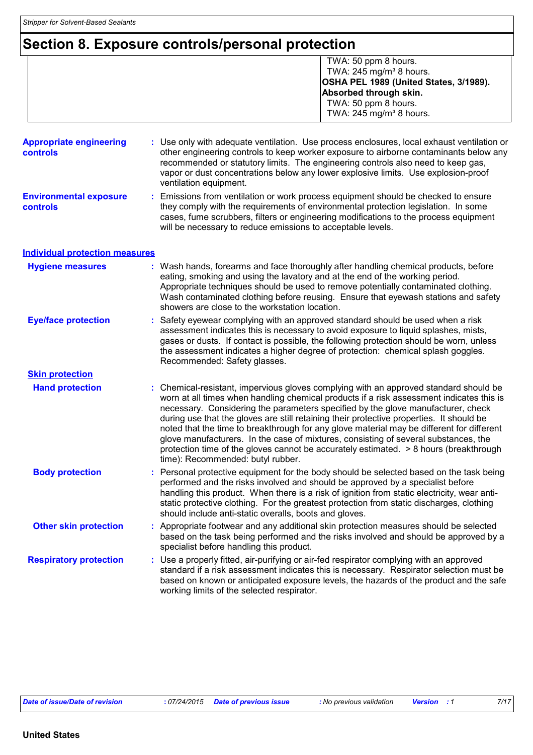### **Section 8. Exposure controls/personal protection**

 TWA: 50 ppm 8 hours. TWA:  $245$  mg/m<sup>3</sup> 8 hours. **OSHA PEL 1989 (United States, 3/1989). Absorbed through skin.**  TWA: 50 ppm 8 hours. TWA:  $245 \text{ mg/m}^3$  8 hours.

| <b>Appropriate engineering</b><br><b>controls</b> | : Use only with adequate ventilation. Use process enclosures, local exhaust ventilation or<br>other engineering controls to keep worker exposure to airborne contaminants below any<br>recommended or statutory limits. The engineering controls also need to keep gas,<br>vapor or dust concentrations below any lower explosive limits. Use explosion-proof<br>ventilation equipment.                                                                                                                                                                                                                                                                                             |
|---------------------------------------------------|-------------------------------------------------------------------------------------------------------------------------------------------------------------------------------------------------------------------------------------------------------------------------------------------------------------------------------------------------------------------------------------------------------------------------------------------------------------------------------------------------------------------------------------------------------------------------------------------------------------------------------------------------------------------------------------|
| <b>Environmental exposure</b><br><b>controls</b>  | : Emissions from ventilation or work process equipment should be checked to ensure<br>they comply with the requirements of environmental protection legislation. In some<br>cases, fume scrubbers, filters or engineering modifications to the process equipment<br>will be necessary to reduce emissions to acceptable levels.                                                                                                                                                                                                                                                                                                                                                     |
| <b>Individual protection measures</b>             |                                                                                                                                                                                                                                                                                                                                                                                                                                                                                                                                                                                                                                                                                     |
| <b>Hygiene measures</b>                           | : Wash hands, forearms and face thoroughly after handling chemical products, before<br>eating, smoking and using the lavatory and at the end of the working period.<br>Appropriate techniques should be used to remove potentially contaminated clothing.<br>Wash contaminated clothing before reusing. Ensure that eyewash stations and safety<br>showers are close to the workstation location.                                                                                                                                                                                                                                                                                   |
| <b>Eye/face protection</b>                        | : Safety eyewear complying with an approved standard should be used when a risk<br>assessment indicates this is necessary to avoid exposure to liquid splashes, mists,<br>gases or dusts. If contact is possible, the following protection should be worn, unless<br>the assessment indicates a higher degree of protection: chemical splash goggles.<br>Recommended: Safety glasses.                                                                                                                                                                                                                                                                                               |
| <b>Skin protection</b>                            |                                                                                                                                                                                                                                                                                                                                                                                                                                                                                                                                                                                                                                                                                     |
| <b>Hand protection</b>                            | : Chemical-resistant, impervious gloves complying with an approved standard should be<br>worn at all times when handling chemical products if a risk assessment indicates this is<br>necessary. Considering the parameters specified by the glove manufacturer, check<br>during use that the gloves are still retaining their protective properties. It should be<br>noted that the time to breakthrough for any glove material may be different for different<br>glove manufacturers. In the case of mixtures, consisting of several substances, the<br>protection time of the gloves cannot be accurately estimated. > 8 hours (breakthrough<br>time): Recommended: butyl rubber. |
| <b>Body protection</b>                            | : Personal protective equipment for the body should be selected based on the task being<br>performed and the risks involved and should be approved by a specialist before<br>handling this product. When there is a risk of ignition from static electricity, wear anti-<br>static protective clothing. For the greatest protection from static discharges, clothing<br>should include anti-static overalls, boots and gloves.                                                                                                                                                                                                                                                      |
| <b>Other skin protection</b>                      | : Appropriate footwear and any additional skin protection measures should be selected<br>based on the task being performed and the risks involved and should be approved by a<br>specialist before handling this product.                                                                                                                                                                                                                                                                                                                                                                                                                                                           |
| <b>Respiratory protection</b>                     | : Use a properly fitted, air-purifying or air-fed respirator complying with an approved<br>standard if a risk assessment indicates this is necessary. Respirator selection must be<br>based on known or anticipated exposure levels, the hazards of the product and the safe<br>working limits of the selected respirator.                                                                                                                                                                                                                                                                                                                                                          |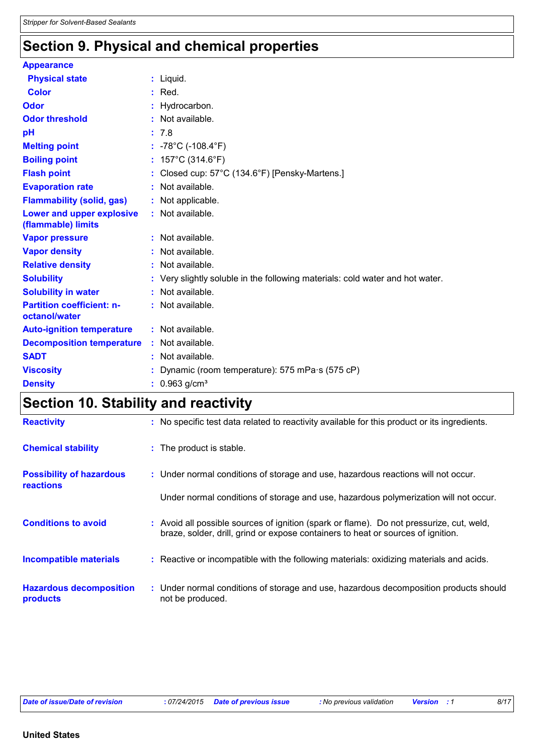### **Section 9. Physical and chemical properties**

| <b>Appearance</b>                                 |                                                                               |
|---------------------------------------------------|-------------------------------------------------------------------------------|
| <b>Physical state</b>                             | : Liquid.                                                                     |
| <b>Color</b>                                      | $:$ Red.                                                                      |
| <b>Odor</b>                                       | : Hydrocarbon.                                                                |
| <b>Odor threshold</b>                             | : Not available.                                                              |
| рH                                                | : 7.8                                                                         |
| <b>Melting point</b>                              | : $-78^{\circ}$ C ( $-108.4^{\circ}$ F)                                       |
| <b>Boiling point</b>                              | : $157^{\circ}$ C (314.6 $^{\circ}$ F)                                        |
| <b>Flash point</b>                                | : Closed cup: 57°C (134.6°F) [Pensky-Martens.]                                |
| <b>Evaporation rate</b>                           | : Not available.                                                              |
| <b>Flammability (solid, gas)</b>                  | : Not applicable.                                                             |
| Lower and upper explosive<br>(flammable) limits   | : Not available.                                                              |
| <b>Vapor pressure</b>                             | : Not available.                                                              |
| <b>Vapor density</b>                              | : Not available.                                                              |
| <b>Relative density</b>                           | : Not available.                                                              |
| <b>Solubility</b>                                 | : Very slightly soluble in the following materials: cold water and hot water. |
| <b>Solubility in water</b>                        | $:$ Not available.                                                            |
| <b>Partition coefficient: n-</b><br>octanol/water | : Not available.                                                              |
| <b>Auto-ignition temperature</b>                  | : Not available.                                                              |
| <b>Decomposition temperature</b>                  | : Not available.                                                              |
| <b>SADT</b>                                       | : Not available.                                                              |
| <b>Viscosity</b>                                  | Dynamic (room temperature): 575 mPa s (575 cP)                                |
| <b>Density</b>                                    | $: 0.963$ g/cm <sup>3</sup>                                                   |

### **Section 10. Stability and reactivity**

| <b>Reactivity</b>                                   | : No specific test data related to reactivity available for this product or its ingredients.                                                                                 |
|-----------------------------------------------------|------------------------------------------------------------------------------------------------------------------------------------------------------------------------------|
| <b>Chemical stability</b>                           | : The product is stable.                                                                                                                                                     |
| <b>Possibility of hazardous</b><br><b>reactions</b> | : Under normal conditions of storage and use, hazardous reactions will not occur.                                                                                            |
|                                                     | Under normal conditions of storage and use, hazardous polymerization will not occur.                                                                                         |
| <b>Conditions to avoid</b>                          | : Avoid all possible sources of ignition (spark or flame). Do not pressurize, cut, weld,<br>braze, solder, drill, grind or expose containers to heat or sources of ignition. |
| <b>Incompatible materials</b>                       | : Reactive or incompatible with the following materials: oxidizing materials and acids.                                                                                      |
| <b>Hazardous decomposition</b><br>products          | : Under normal conditions of storage and use, hazardous decomposition products should<br>not be produced.                                                                    |

*Date of issue/Date of revision* **:** *07/24/2015 Date of previous issue : No previous validation Version : 1 8/17*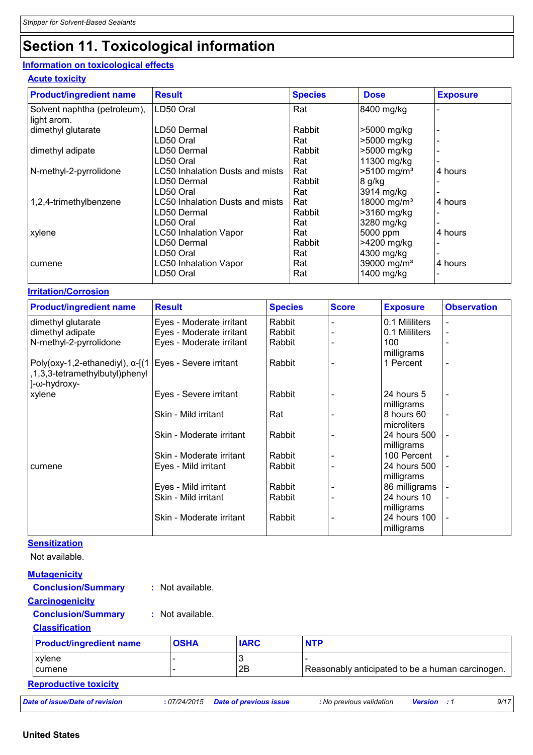## **Section 11. Toxicological information**

### **Information on toxicological effects**

#### **Acute toxicity**

| <b>Product/ingredient name</b>              | <b>Result</b>                   | <b>Species</b> | <b>Dose</b>             | <b>Exposure</b> |
|---------------------------------------------|---------------------------------|----------------|-------------------------|-----------------|
| Solvent naphtha (petroleum),<br>light arom. | LD50 Oral                       | Rat            | 8400 mg/kg              |                 |
| dimethyl glutarate                          | LD50 Dermal                     | Rabbit         | >5000 mg/kg             |                 |
|                                             | LD50 Oral                       | Rat            | >5000 mg/kg             |                 |
| dimethyl adipate                            | LD50 Dermal                     | Rabbit         | >5000 mg/kg             |                 |
|                                             | LD50 Oral                       | Rat            | 11300 mg/kg             |                 |
| N-methyl-2-pyrrolidone                      | LC50 Inhalation Dusts and mists | Rat            | >5100 mg/m <sup>3</sup> | 4 hours         |
|                                             | LD50 Dermal                     | Rabbit         | 8 g/kg                  |                 |
|                                             | LD50 Oral                       | Rat            | 3914 mg/kg              |                 |
| 1,2,4-trimethylbenzene                      | LC50 Inhalation Dusts and mists | Rat            | 18000 mg/m <sup>3</sup> | 4 hours         |
|                                             | LD50 Dermal                     | Rabbit         | >3160 mg/kg             |                 |
|                                             | LD50 Oral                       | Rat            | 3280 mg/kg              |                 |
| xylene                                      | <b>LC50 Inhalation Vapor</b>    | Rat            | 5000 ppm                | 4 hours         |
|                                             | LD50 Dermal                     | Rabbit         | >4200 mg/kg             |                 |
|                                             | LD50 Oral                       | Rat            | 4300 mg/kg              |                 |
| cumene                                      | <b>LC50 Inhalation Vapor</b>    | Rat            | 39000 mg/m <sup>3</sup> | 4 hours         |
|                                             | LD50 Oral                       | Rat            | 1400 mg/kg              |                 |

#### **Irritation/Corrosion**

| <b>Product/ingredient name</b>                                                             | <b>Result</b>            | <b>Species</b> | <b>Score</b> | <b>Exposure</b> | <b>Observation</b>       |
|--------------------------------------------------------------------------------------------|--------------------------|----------------|--------------|-----------------|--------------------------|
| dimethyl glutarate                                                                         | Eyes - Moderate irritant | Rabbit         |              | 0.1 Mililiters  |                          |
| dimethyl adipate                                                                           | Eyes - Moderate irritant | Rabbit         |              | 0.1 Mililiters  |                          |
| N-methyl-2-pyrrolidone                                                                     | Eyes - Moderate irritant | Rabbit         |              | 100             |                          |
|                                                                                            |                          |                |              | milligrams      |                          |
| Poly(oxy-1,2-ethanediyl), α-[(1   Eyes - Severe irritant<br>,1,3,3-tetramethylbutyl)phenyl |                          | Rabbit         |              | 1 Percent       | $\overline{\phantom{a}}$ |
| l-ω-hydroxy-                                                                               |                          |                |              |                 |                          |
| xylene                                                                                     | Eyes - Severe irritant   | Rabbit         |              | 24 hours 5      | $\blacksquare$           |
|                                                                                            |                          |                |              | milligrams      |                          |
|                                                                                            | Skin - Mild irritant     | Rat            |              | 8 hours 60      |                          |
|                                                                                            |                          |                |              | microliters     |                          |
|                                                                                            | Skin - Moderate irritant | Rabbit         |              | 24 hours 500    |                          |
|                                                                                            |                          |                |              | milligrams      |                          |
|                                                                                            | Skin - Moderate irritant | Rabbit         |              | 100 Percent     |                          |
| <b>cumene</b>                                                                              | Eyes - Mild irritant     | Rabbit         |              | 24 hours 500    |                          |
|                                                                                            |                          |                |              | milligrams      |                          |
|                                                                                            | Eyes - Mild irritant     | Rabbit         |              | 86 milligrams   |                          |
|                                                                                            | Skin - Mild irritant     | Rabbit         |              | 24 hours 10     |                          |
|                                                                                            |                          |                |              | milligrams      |                          |
|                                                                                            | Skin - Moderate irritant | Rabbit         |              | 24 hours 100    | $\overline{\phantom{a}}$ |
|                                                                                            |                          |                |              | milligrams      |                          |

#### **Sensitization**

Not available.

| <b>Mutagenicity</b>             |                |                               |                                                             |
|---------------------------------|----------------|-------------------------------|-------------------------------------------------------------|
| <b>Conclusion/Summary</b><br>÷. | Not available. |                               |                                                             |
| <b>Carcinogenicity</b>          |                |                               |                                                             |
| <b>Conclusion/Summary</b><br>÷. | Not available. |                               |                                                             |
| <b>Classification</b>           |                |                               |                                                             |
| <b>Product/ingredient name</b>  | <b>OSHA</b>    | <b>IARC</b>                   | <b>NTP</b>                                                  |
| xylene                          |                | 3                             |                                                             |
| cumene                          |                | 2Β                            | Reasonably anticipated to be a human carcinogen.            |
| <b>Reproductive toxicity</b>    |                |                               |                                                             |
| Date of issue/Date of revision  | :07/24/2015    | <b>Date of previous issue</b> | 9/17<br>: No previous validation<br><b>Version</b><br>. . 1 |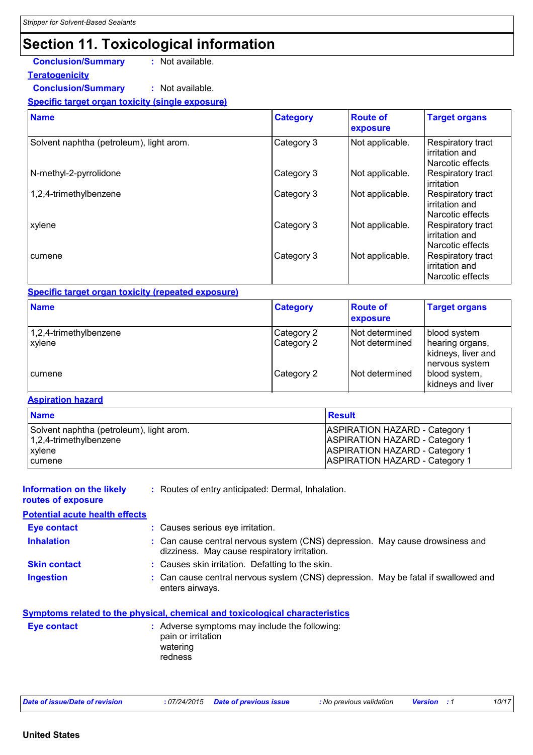### **Section 11. Toxicological information**

### **Conclusion/Summary :** Not available.

#### **Teratogenicity Conclusion/Summary :** Not available.

#### **Specific target organ toxicity (single exposure)**

| <b>Name</b>                              | <b>Category</b> | <b>Route of</b><br>exposure | <b>Target organs</b>                                    |
|------------------------------------------|-----------------|-----------------------------|---------------------------------------------------------|
| Solvent naphtha (petroleum), light arom. | Category 3      | Not applicable.             | Respiratory tract<br>irritation and<br>Narcotic effects |
| N-methyl-2-pyrrolidone                   | Category 3      | Not applicable.             | Respiratory tract<br>irritation                         |
| 1,2,4-trimethylbenzene                   | Category 3      | Not applicable.             | Respiratory tract<br>irritation and<br>Narcotic effects |
| xylene                                   | Category 3      | Not applicable.             | Respiratory tract<br>irritation and<br>Narcotic effects |
| cumene                                   | Category 3      | Not applicable.             | Respiratory tract<br>irritation and<br>Narcotic effects |

#### **Specific target organ toxicity (repeated exposure)**

| <b>Name</b>                      | <b>Category</b>          | <b>Route of</b><br>exposure          | <b>Target organs</b>                                                    |
|----------------------------------|--------------------------|--------------------------------------|-------------------------------------------------------------------------|
| 1,2,4-trimethylbenzene<br>xylene | Category 2<br>Category 2 | l Not determined<br>I Not determined | blood system<br>hearing organs,<br>kidneys, liver and<br>nervous system |
| cumene                           | Category 2               | Not determined                       | blood system,<br>kidneys and liver                                      |

#### **Aspiration hazard**

| <b>Name</b>                              | <b>Result</b>                         |
|------------------------------------------|---------------------------------------|
| Solvent naphtha (petroleum), light arom. | <b>ASPIRATION HAZARD - Category 1</b> |
| $1,2,4$ -trimethylbenzene                | <b>ASPIRATION HAZARD - Category 1</b> |
| xylene                                   | <b>ASPIRATION HAZARD - Category 1</b> |
| <b>cumene</b>                            | <b>ASPIRATION HAZARD - Category 1</b> |

**Information on the likely routes of exposure**

**:** Routes of entry anticipated: Dermal, Inhalation.

#### **Potential acute health effects**

| <b>Eye contact</b>  | : Causes serious eye irritation.                                                                                              |
|---------------------|-------------------------------------------------------------------------------------------------------------------------------|
| <b>Inhalation</b>   | : Can cause central nervous system (CNS) depression. May cause drowsiness and<br>dizziness. May cause respiratory irritation. |
| <b>Skin contact</b> | : Causes skin irritation. Defatting to the skin.                                                                              |
| <b>Ingestion</b>    | : Can cause central nervous system (CNS) depression. May be fatal if swallowed and<br>enters airways.                         |

|             | Symptoms related to the physical, chemical and toxicological characteristics               |
|-------------|--------------------------------------------------------------------------------------------|
| Eye contact | : Adverse symptoms may include the following:<br>pain or irritation<br>watering<br>redness |

| 10/17<br>Date of issue/Date of revision<br>.07/24/2015<br>: No previous validation<br>Date of previous issue<br><b>Version</b> |
|--------------------------------------------------------------------------------------------------------------------------------|
|--------------------------------------------------------------------------------------------------------------------------------|

#### **United States**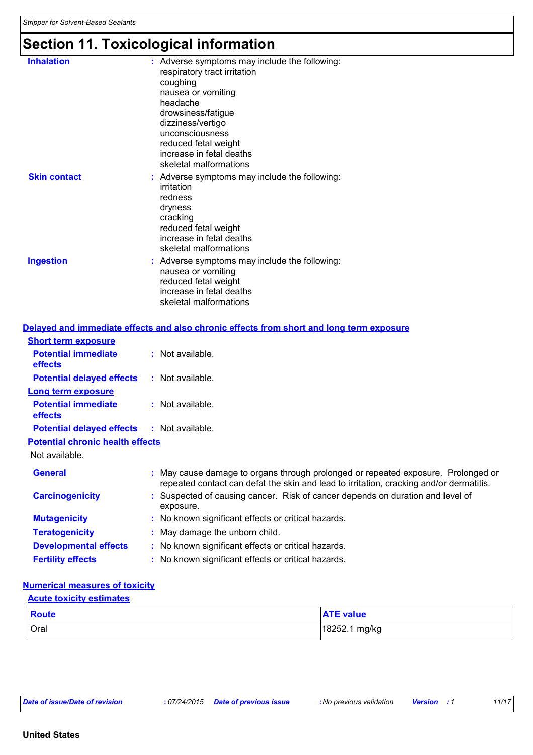### **Section 11. Toxicological information**

| <b>Inhalation</b>   | : Adverse symptoms may include the following:<br>respiratory tract irritation<br>coughing<br>nausea or vomiting<br>headache<br>drowsiness/fatigue<br>dizziness/vertigo<br>unconsciousness<br>reduced fetal weight<br>increase in fetal deaths<br>skeletal malformations |
|---------------------|-------------------------------------------------------------------------------------------------------------------------------------------------------------------------------------------------------------------------------------------------------------------------|
| <b>Skin contact</b> | : Adverse symptoms may include the following:<br>irritation<br>redness<br>dryness<br>cracking<br>reduced fetal weight<br>increase in fetal deaths<br>skeletal malformations                                                                                             |
| <b>Ingestion</b>    | : Adverse symptoms may include the following:<br>nausea or vomiting<br>reduced fetal weight<br>increase in fetal deaths<br>skeletal malformations                                                                                                                       |

|                                                   | <u>Delayed and immediate effects and also chronic effects from short and long term exposure</u>                                                                            |
|---------------------------------------------------|----------------------------------------------------------------------------------------------------------------------------------------------------------------------------|
| <b>Short term exposure</b>                        |                                                                                                                                                                            |
| <b>Potential immediate</b><br><b>effects</b>      | : Not available.                                                                                                                                                           |
| <b>Potential delayed effects</b>                  | : Not available.                                                                                                                                                           |
| <b>Long term exposure</b>                         |                                                                                                                                                                            |
| <b>Potential immediate</b><br><b>effects</b>      | $:$ Not available.                                                                                                                                                         |
| <b>Potential delayed effects : Not available.</b> |                                                                                                                                                                            |
| <b>Potential chronic health effects</b>           |                                                                                                                                                                            |
| Not available.                                    |                                                                                                                                                                            |
| <b>General</b>                                    | May cause damage to organs through prolonged or repeated exposure. Prolonged or<br>repeated contact can defat the skin and lead to irritation, cracking and/or dermatitis. |
| <b>Carcinogenicity</b>                            | Suspected of causing cancer. Risk of cancer depends on duration and level of<br>exposure.                                                                                  |
| <b>Mutagenicity</b>                               | : No known significant effects or critical hazards.                                                                                                                        |
| <b>Teratogenicity</b>                             | : May damage the unborn child.                                                                                                                                             |
| <b>Developmental effects</b>                      | : No known significant effects or critical hazards.                                                                                                                        |
| <b>Fertility effects</b>                          | : No known significant effects or critical hazards.                                                                                                                        |

#### **Numerical measures of toxicity**

### Oral 18252.1 mg/kg **Route ATE value Acute toxicity estimates**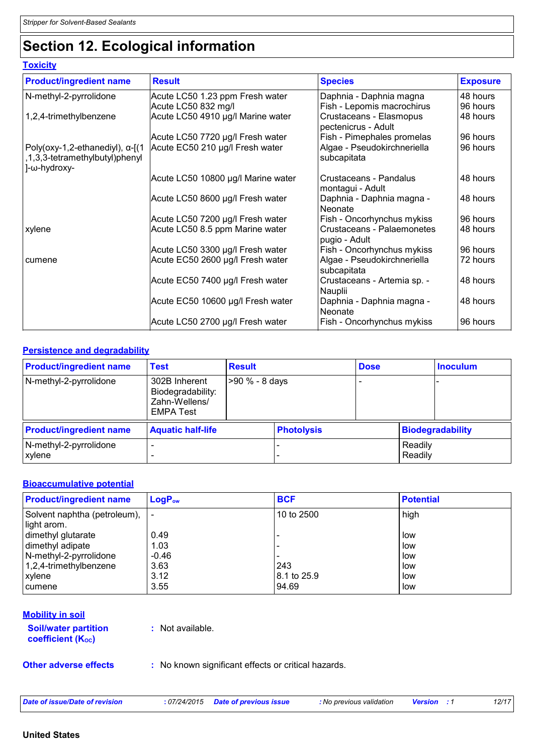### **Section 12. Ecological information**

#### **Toxicity**

| <b>Product/ingredient name</b>                                                           | <b>Result</b>                      | <b>Species</b>                                 | <b>Exposure</b> |
|------------------------------------------------------------------------------------------|------------------------------------|------------------------------------------------|-----------------|
| N-methyl-2-pyrrolidone                                                                   | Acute LC50 1.23 ppm Fresh water    | Daphnia - Daphnia magna                        | 48 hours        |
|                                                                                          | Acute LC50 832 mg/l                | Fish - Lepomis macrochirus                     | 96 hours        |
| 1,2,4-trimethylbenzene                                                                   | Acute LC50 4910 µg/l Marine water  | Crustaceans - Elasmopus<br>pectenicrus - Adult | 48 hours        |
|                                                                                          | Acute LC50 7720 µg/l Fresh water   | Fish - Pimephales promelas                     | 96 hours        |
| Poly(oxy-1,2-ethanediyl), $\alpha$ -[(1<br>1,3,3-tetramethylbutyl)phenyl<br>]-ω-hydroxy- | Acute EC50 210 µg/l Fresh water    | Algae - Pseudokirchneriella<br>subcapitata     | 96 hours        |
|                                                                                          | Acute LC50 10800 µg/l Marine water | Crustaceans - Pandalus<br>montagui - Adult     | 48 hours        |
|                                                                                          | Acute LC50 8600 µg/l Fresh water   | Daphnia - Daphnia magna -<br>Neonate           | 48 hours        |
|                                                                                          | Acute LC50 7200 µg/l Fresh water   | Fish - Oncorhynchus mykiss                     | 96 hours        |
| xylene                                                                                   | Acute LC50 8.5 ppm Marine water    | Crustaceans - Palaemonetes<br>pugio - Adult    | 48 hours        |
|                                                                                          | Acute LC50 3300 µg/l Fresh water   | Fish - Oncorhynchus mykiss                     | 96 hours        |
| cumene                                                                                   | Acute EC50 2600 µg/l Fresh water   | Algae - Pseudokirchneriella<br>subcapitata     | 72 hours        |
|                                                                                          | Acute EC50 7400 µg/l Fresh water   | Crustaceans - Artemia sp. -<br>Nauplii         | 48 hours        |
|                                                                                          | Acute EC50 10600 µg/l Fresh water  | Daphnia - Daphnia magna -<br>Neonate           | 48 hours        |
|                                                                                          | Acute LC50 2700 µg/l Fresh water   | Fish - Oncorhynchus mykiss                     | 96 hours        |

#### **Persistence and degradability**

| <b>Product/ingredient name</b>   | <b>Test</b>                                                             | <b>Result</b>  |                   | <b>Dose</b> |                    | <b>Inoculum</b>         |
|----------------------------------|-------------------------------------------------------------------------|----------------|-------------------|-------------|--------------------|-------------------------|
| N-methyl-2-pyrrolidone           | 302B Inherent<br>Biodegradability:<br>Zahn-Wellens/<br><b>EMPA Test</b> | >90 % - 8 days |                   |             |                    |                         |
| <b>Product/ingredient name</b>   | <b>Aquatic half-life</b>                                                |                | <b>Photolysis</b> |             |                    | <b>Biodegradability</b> |
| N-methyl-2-pyrrolidone<br>xylene |                                                                         |                |                   |             | Readily<br>Readily |                         |

#### **Bioaccumulative potential**

| <b>Product/ingredient name</b>                | $LogP_{ow}$ | <b>BCF</b>  | <b>Potential</b> |
|-----------------------------------------------|-------------|-------------|------------------|
| Solvent naphtha (petroleum),  <br>light arom. |             | 10 to 2500  | high             |
| dimethyl glutarate                            | 0.49        |             | low              |
| dimethyl adipate                              | 1.03        |             | low              |
| N-methyl-2-pyrrolidone                        | $-0.46$     |             | low              |
| 1,2,4-trimethylbenzene                        | 3.63        | 243         | low              |
| <b>xylene</b>                                 | 3.12        | 8.1 to 25.9 | low              |
| <b>cumene</b>                                 | 3.55        | 94.69       | low              |

#### **Mobility in soil**

**Soil/water partition coefficient (KOC)**

**:** Not available.

**Other adverse effects** : No known significant effects or critical hazards.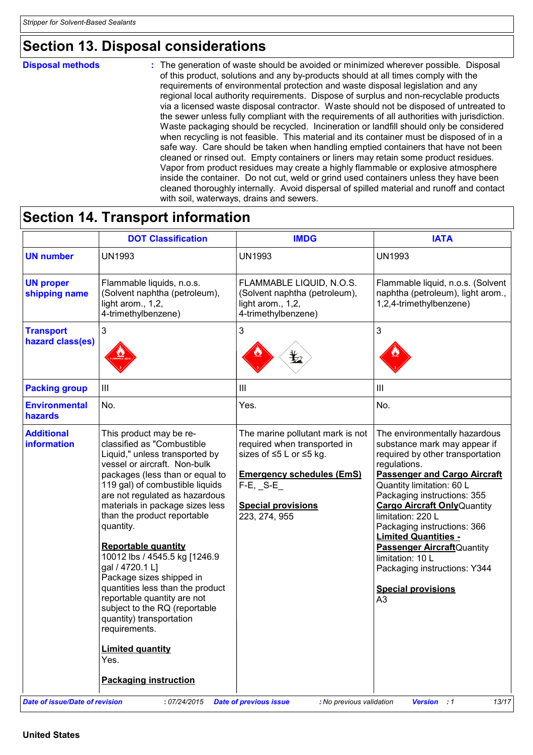### **Section 13. Disposal considerations**

#### **Disposal methods :**

The generation of waste should be avoided or minimized wherever possible. Disposal of this product, solutions and any by-products should at all times comply with the requirements of environmental protection and waste disposal legislation and any regional local authority requirements. Dispose of surplus and non-recyclable products via a licensed waste disposal contractor. Waste should not be disposed of untreated to the sewer unless fully compliant with the requirements of all authorities with jurisdiction. Waste packaging should be recycled. Incineration or landfill should only be considered when recycling is not feasible. This material and its container must be disposed of in a safe way. Care should be taken when handling emptied containers that have not been cleaned or rinsed out. Empty containers or liners may retain some product residues. Vapor from product residues may create a highly flammable or explosive atmosphere inside the container. Do not cut, weld or grind used containers unless they have been cleaned thoroughly internally. Avoid dispersal of spilled material and runoff and contact with soil, waterways, drains and sewers.

### **Section 14. Transport information**

|                                         | <b>DOT Classification</b>                                                                                                                                                                                                                                                                                                                                                                                                                                                                                                                                                                                                                 | <b>IMDG</b>                                                                                                                                                                                    | <b>IATA</b>                                                                                                                                                                                                                                                                                                                                                                                                                                                                 |
|-----------------------------------------|-------------------------------------------------------------------------------------------------------------------------------------------------------------------------------------------------------------------------------------------------------------------------------------------------------------------------------------------------------------------------------------------------------------------------------------------------------------------------------------------------------------------------------------------------------------------------------------------------------------------------------------------|------------------------------------------------------------------------------------------------------------------------------------------------------------------------------------------------|-----------------------------------------------------------------------------------------------------------------------------------------------------------------------------------------------------------------------------------------------------------------------------------------------------------------------------------------------------------------------------------------------------------------------------------------------------------------------------|
| <b>UN number</b>                        | <b>UN1993</b>                                                                                                                                                                                                                                                                                                                                                                                                                                                                                                                                                                                                                             | <b>UN1993</b>                                                                                                                                                                                  | <b>UN1993</b>                                                                                                                                                                                                                                                                                                                                                                                                                                                               |
| <b>UN proper</b><br>shipping name       | Flammable liquids, n.o.s.<br>(Solvent naphtha (petroleum),<br>light arom., 1,2,<br>4-trimethylbenzene)                                                                                                                                                                                                                                                                                                                                                                                                                                                                                                                                    | FLAMMABLE LIQUID, N.O.S.<br>(Solvent naphtha (petroleum),<br>light arom., 1,2,<br>4-trimethylbenzene)                                                                                          | Flammable liquid, n.o.s. (Solvent<br>naphtha (petroleum), light arom.,<br>1,2,4-trimethylbenzene)                                                                                                                                                                                                                                                                                                                                                                           |
| <b>Transport</b><br>hazard class(es)    | $\mathfrak{S}$                                                                                                                                                                                                                                                                                                                                                                                                                                                                                                                                                                                                                            | 3                                                                                                                                                                                              | 3                                                                                                                                                                                                                                                                                                                                                                                                                                                                           |
| <b>Packing group</b>                    | III                                                                                                                                                                                                                                                                                                                                                                                                                                                                                                                                                                                                                                       | Ш                                                                                                                                                                                              | $\mathbf{III}$                                                                                                                                                                                                                                                                                                                                                                                                                                                              |
| <b>Environmental</b><br>hazards         | No.                                                                                                                                                                                                                                                                                                                                                                                                                                                                                                                                                                                                                                       | Yes.                                                                                                                                                                                           | No.                                                                                                                                                                                                                                                                                                                                                                                                                                                                         |
| <b>Additional</b><br><b>information</b> | This product may be re-<br>classified as "Combustible<br>Liquid," unless transported by<br>vessel or aircraft. Non-bulk<br>packages (less than or equal to<br>119 gal) of combustible liquids<br>are not regulated as hazardous<br>materials in package sizes less<br>than the product reportable<br>quantity.<br>Reportable quantity<br>10012 lbs / 4545.5 kg [1246.9<br>gal / 4720.1 L]<br>Package sizes shipped in<br>quantities less than the product<br>reportable quantity are not<br>subject to the RQ (reportable<br>quantity) transportation<br>requirements.<br><b>Limited quantity</b><br>Yes.<br><b>Packaging instruction</b> | The marine pollutant mark is not<br>required when transported in<br>sizes of ≤5 L or ≤5 kg.<br><b>Emergency schedules (EmS)</b><br>$F-E$ , $S-E$<br><b>Special provisions</b><br>223, 274, 955 | The environmentally hazardous<br>substance mark may appear if<br>required by other transportation<br>regulations.<br><b>Passenger and Cargo Aircraft</b><br>Quantity limitation: 60 L<br>Packaging instructions: 355<br><b>Cargo Aircraft Only Quantity</b><br>limitation: 220 L<br>Packaging instructions: 366<br><b>Limited Quantities -</b><br><b>Passenger Aircraft</b> Quantity<br>limitation: 10 L<br>Packaging instructions: Y344<br><b>Special provisions</b><br>A3 |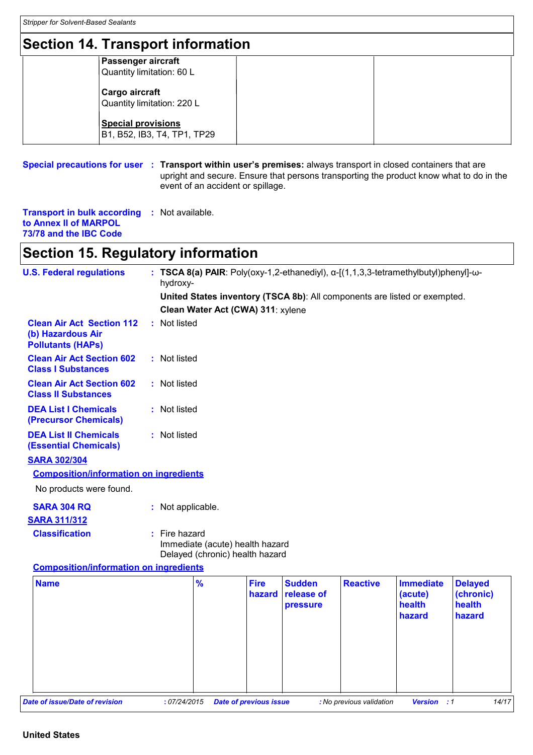### **Section 14. Transport information**

| Section 14. Transport information                        |  |  |  |  |  |
|----------------------------------------------------------|--|--|--|--|--|
| <b>Passenger aircraft</b><br>Quantity limitation: 60 L   |  |  |  |  |  |
| Cargo aircraft<br>Quantity limitation: 220 L             |  |  |  |  |  |
| <b>Special provisions</b><br>B1, B52, IB3, T4, TP1, TP29 |  |  |  |  |  |

#### **Special precautions for user Transport within user's premises:** always transport in closed containers that are **:** upright and secure. Ensure that persons transporting the product know what to do in the event of an accident or spillage.

**Transport in bulk according :** Not available. **to Annex II of MARPOL 73/78 and the IBC Code**

### **Section 15. Regulatory information**

| <b>U.S. Federal regulations</b>                                                   | : TSCA 8(a) PAIR: Poly(oxy-1,2-ethanediyl), $\alpha$ -[(1,1,3,3-tetramethylbutyl)phenyl]- $\omega$ -<br>hydroxy- |                                                                    |                               |                                         |                          |                                                 |                                                 |
|-----------------------------------------------------------------------------------|------------------------------------------------------------------------------------------------------------------|--------------------------------------------------------------------|-------------------------------|-----------------------------------------|--------------------------|-------------------------------------------------|-------------------------------------------------|
|                                                                                   | United States inventory (TSCA 8b): All components are listed or exempted.                                        |                                                                    |                               |                                         |                          |                                                 |                                                 |
|                                                                                   |                                                                                                                  | Clean Water Act (CWA) 311: xylene                                  |                               |                                         |                          |                                                 |                                                 |
| <b>Clean Air Act Section 112</b><br>(b) Hazardous Air<br><b>Pollutants (HAPs)</b> | : Not listed                                                                                                     |                                                                    |                               |                                         |                          |                                                 |                                                 |
| <b>Clean Air Act Section 602</b><br><b>Class I Substances</b>                     | : Not listed                                                                                                     |                                                                    |                               |                                         |                          |                                                 |                                                 |
| <b>Clean Air Act Section 602</b><br><b>Class II Substances</b>                    | : Not listed                                                                                                     |                                                                    |                               |                                         |                          |                                                 |                                                 |
| <b>DEA List I Chemicals</b><br>(Precursor Chemicals)                              | : Not listed                                                                                                     |                                                                    |                               |                                         |                          |                                                 |                                                 |
| <b>DEA List II Chemicals</b><br><b>(Essential Chemicals)</b>                      | : Not listed                                                                                                     |                                                                    |                               |                                         |                          |                                                 |                                                 |
| <b>SARA 302/304</b>                                                               |                                                                                                                  |                                                                    |                               |                                         |                          |                                                 |                                                 |
| <b>Composition/information on ingredients</b>                                     |                                                                                                                  |                                                                    |                               |                                         |                          |                                                 |                                                 |
| No products were found.                                                           |                                                                                                                  |                                                                    |                               |                                         |                          |                                                 |                                                 |
| <b>SARA 304 RQ</b>                                                                | : Not applicable.                                                                                                |                                                                    |                               |                                         |                          |                                                 |                                                 |
| <b>SARA 311/312</b>                                                               |                                                                                                                  |                                                                    |                               |                                         |                          |                                                 |                                                 |
| <b>Classification</b>                                                             | : Fire hazard                                                                                                    | Immediate (acute) health hazard<br>Delayed (chronic) health hazard |                               |                                         |                          |                                                 |                                                 |
| <b>Composition/information on ingredients</b>                                     |                                                                                                                  |                                                                    |                               |                                         |                          |                                                 |                                                 |
| <b>Name</b>                                                                       |                                                                                                                  | $\frac{9}{6}$                                                      | <b>Fire</b><br>hazard         | <b>Sudden</b><br>release of<br>pressure | <b>Reactive</b>          | <b>Immediate</b><br>(acute)<br>health<br>hazard | <b>Delayed</b><br>(chronic)<br>health<br>hazard |
| Date of issue/Date of revision                                                    | : 07/24/2015                                                                                                     |                                                                    | <b>Date of previous issue</b> |                                         | : No previous validation | <b>Version</b><br>$\therefore$ 1                | 14/17                                           |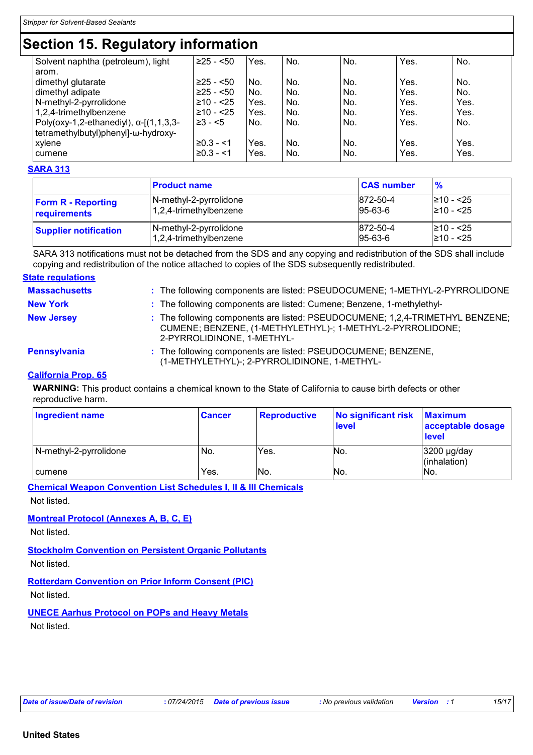### **Section 15. Regulatory information**

| Solvent naphtha (petroleum), light             | $≥25 - 50$   | Yes. | No. | No. | Yes. | No.  |
|------------------------------------------------|--------------|------|-----|-----|------|------|
| arom.                                          |              |      |     |     |      |      |
| dimethyl glutarate                             | $≥25 - 50$   | No.  | No. | No. | Yes. | No.  |
| dimethyl adipate                               | $≥25 - 50$   | No.  | No. | No. | Yes. | No.  |
| N-methyl-2-pyrrolidone                         | ≥10 - <25    | Yes. | No. | No. | Yes. | Yes. |
| 1,2,4-trimethylbenzene                         | ≥10 - <25    | Yes. | No. | No. | Yes. | Yes. |
| Poly(oxy-1,2-ethanediyl), $\alpha$ -[(1,1,3,3- | $\geq 3 - 5$ | No.  | No. | No. | Yes. | No.  |
| tetramethylbutyl)phenyl]-ω-hydroxy-            |              |      |     |     |      |      |
| xylene                                         | $≥0.3 - < 1$ | Yes. | No. | No. | Yes. | Yes. |
| cumene                                         | $≥0.3 - 1$   | Yes. | No. | No. | Yes. | Yes. |
|                                                |              |      |     |     |      |      |

#### **SARA 313**

|                              | <b>Product name</b>    | <b>CAS number</b> | $\frac{9}{6}$  |
|------------------------------|------------------------|-------------------|----------------|
| <b>Form R - Reporting</b>    | N-methyl-2-pyrrolidone | 872-50-4          | 1≥10 - <25     |
| requirements                 | 1,2,4-trimethylbenzene | $95 - 63 - 6$     | $\geq 10 - 25$ |
| <b>Supplier notification</b> | N-methyl-2-pyrrolidone | 872-50-4          | $\geq 10 - 25$ |
|                              | 1,2,4-trimethylbenzene | $95 - 63 - 6$     | $\geq 10 - 25$ |

SARA 313 notifications must not be detached from the SDS and any copying and redistribution of the SDS shall include copying and redistribution of the notice attached to copies of the SDS subsequently redistributed.

#### **State regulations**

| <b>Massachusetts</b> | : The following components are listed: PSEUDOCUMENE; 1-METHYL-2-PYRROLIDONE                                                                                               |
|----------------------|---------------------------------------------------------------------------------------------------------------------------------------------------------------------------|
| <b>New York</b>      | : The following components are listed: Cumene; Benzene, 1-methylethyl-                                                                                                    |
| <b>New Jersey</b>    | : The following components are listed: PSEUDOCUMENE; 1,2,4-TRIMETHYL BENZENE;<br>CUMENE; BENZENE, (1-METHYLETHYL)-; 1-METHYL-2-PYRROLIDONE;<br>2-PYRROLIDINONE, 1-METHYL- |
| <b>Pennsylvania</b>  | : The following components are listed: PSEUDOCUMENE; BENZENE,<br>(1-METHYLETHYL)-; 2-PYRROLIDINONE, 1-METHYL-                                                             |

#### **California Prop. 65**

**WARNING:** This product contains a chemical known to the State of California to cause birth defects or other reproductive harm.

| Ingredient name        | <b>Cancer</b> | <b>Reproductive</b> | No significant risk<br><b>level</b> | <b>Maximum</b><br>acceptable dosage<br><b>level</b> |
|------------------------|---------------|---------------------|-------------------------------------|-----------------------------------------------------|
| N-methyl-2-pyrrolidone | No.           | Yes.                | No.                                 | 3200 µg/day<br>$l$ (inhalation)                     |
| cumene                 | Yes.          | No.                 | INo.                                | INo.                                                |

**Chemical Weapon Convention List Schedules I, II & III Chemicals**

Not listed.

#### **Montreal Protocol (Annexes A, B, C, E)**

Not listed.

#### **Stockholm Convention on Persistent Organic Pollutants**

Not listed.

**Rotterdam Convention on Prior Inform Consent (PIC)**

Not listed.

**UNECE Aarhus Protocol on POPs and Heavy Metals**

Not listed.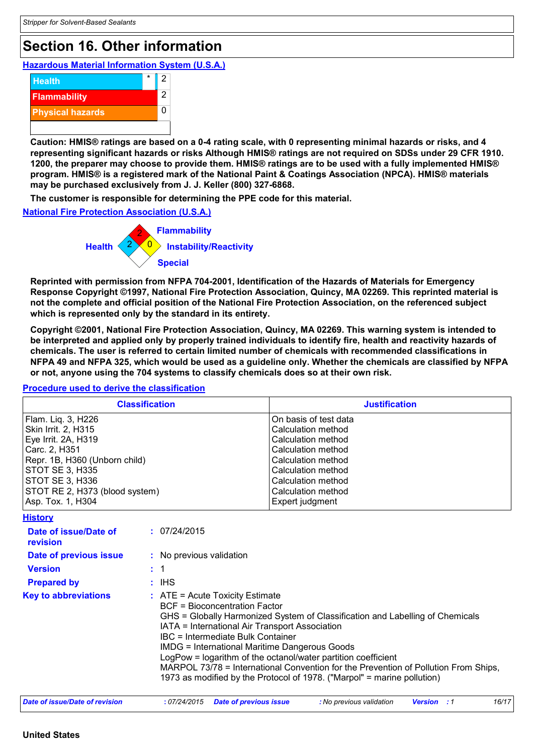## **Section 16. Other information**

**Hazardous Material Information System (U.S.A.)**



**Caution: HMIS® ratings are based on a 0-4 rating scale, with 0 representing minimal hazards or risks, and 4 representing significant hazards or risks Although HMIS® ratings are not required on SDSs under 29 CFR 1910. 1200, the preparer may choose to provide them. HMIS® ratings are to be used with a fully implemented HMIS® program. HMIS® is a registered mark of the National Paint & Coatings Association (NPCA). HMIS® materials may be purchased exclusively from J. J. Keller (800) 327-6868.**

**The customer is responsible for determining the PPE code for this material.**

#### **National Fire Protection Association (U.S.A.)**



**Reprinted with permission from NFPA 704-2001, Identification of the Hazards of Materials for Emergency Response Copyright ©1997, National Fire Protection Association, Quincy, MA 02269. This reprinted material is not the complete and official position of the National Fire Protection Association, on the referenced subject which is represented only by the standard in its entirety.**

**Copyright ©2001, National Fire Protection Association, Quincy, MA 02269. This warning system is intended to be interpreted and applied only by properly trained individuals to identify fire, health and reactivity hazards of chemicals. The user is referred to certain limited number of chemicals with recommended classifications in NFPA 49 and NFPA 325, which would be used as a guideline only. Whether the chemicals are classified by NFPA or not, anyone using the 704 systems to classify chemicals does so at their own risk.**

### **Procedure used to derive the classification**

| <b>Classification</b>          | <b>Justification</b>  |  |  |
|--------------------------------|-----------------------|--|--|
| Flam. Liq. 3, H226             | On basis of test data |  |  |
| Skin Irrit. 2, H315            | Calculation method    |  |  |
| Eye Irrit. 2A, H319            | Calculation method    |  |  |
| Carc. 2, H351                  | Calculation method    |  |  |
| Repr. 1B, H360 (Unborn child)  | Calculation method    |  |  |
| <b>STOT SE 3, H335</b>         | Calculation method    |  |  |
| <b>STOT SE 3, H336</b>         | Calculation method    |  |  |
| STOT RE 2, H373 (blood system) | Calculation method    |  |  |
| Asp. Tox. 1, H304              | Expert judgment       |  |  |

| <b>History</b>                    |                                                                                                                                                                                                                                                                                                                                                                                                                                                                                                                                                       |  |  |  |
|-----------------------------------|-------------------------------------------------------------------------------------------------------------------------------------------------------------------------------------------------------------------------------------------------------------------------------------------------------------------------------------------------------------------------------------------------------------------------------------------------------------------------------------------------------------------------------------------------------|--|--|--|
| Date of issue/Date of<br>revision | : 07/24/2015                                                                                                                                                                                                                                                                                                                                                                                                                                                                                                                                          |  |  |  |
| Date of previous issue            | : No previous validation                                                                                                                                                                                                                                                                                                                                                                                                                                                                                                                              |  |  |  |
| <b>Version</b>                    | $\cdot$ 1                                                                                                                                                                                                                                                                                                                                                                                                                                                                                                                                             |  |  |  |
| <b>Prepared by</b>                | : IHS                                                                                                                                                                                                                                                                                                                                                                                                                                                                                                                                                 |  |  |  |
| <b>Key to abbreviations</b>       | $\therefore$ ATE = Acute Toxicity Estimate<br><b>BCF</b> = Bioconcentration Factor<br>GHS = Globally Harmonized System of Classification and Labelling of Chemicals<br>IATA = International Air Transport Association<br>IBC = Intermediate Bulk Container<br><b>IMDG = International Maritime Dangerous Goods</b><br>LogPow = logarithm of the octanol/water partition coefficient<br>MARPOL 73/78 = International Convention for the Prevention of Pollution From Ships,<br>1973 as modified by the Protocol of 1978. ("Marpol" = marine pollution) |  |  |  |
| Date of issue/Date of revision    | 16/17<br>: 07/24/2015<br><b>Date of previous issue</b><br>: No previous validation<br><b>Version</b> : 1                                                                                                                                                                                                                                                                                                                                                                                                                                              |  |  |  |